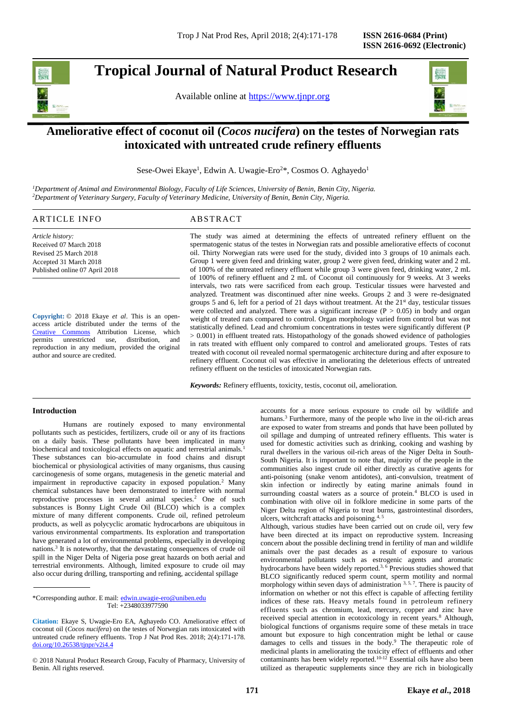# **Tropical Journal of Natural Product Research**

Available online at [https://www.tjnpr.org](https://www.tjnpr.org/)



# **Ameliorative effect of coconut oil (***Cocos nucifera***) on the testes of Norwegian rats intoxicated with untreated crude refinery effluents**

Sese-Owei Ekaye<sup>1</sup>, Edwin A. Uwagie-Ero<sup>2\*</sup>, Cosmos O. Aghayedo<sup>1</sup>

*<sup>1</sup>Department of Animal and Environmental Biology, Faculty of Life Sciences, University of Benin, Benin City, Nigeria. <sup>2</sup>Department of Veterinary Surgery, Faculty of Veterinary Medicine, University of Benin, Benin City, Nigeria.*

# ARTICLE INFO ABSTRACT

*Article history:* Received 07 March 2018 Revised 25 March 2018 Accepted 31 March 2018 Published online 07 April 2018

**Copyright:** © 2018 Ekaye *et al*. This is an openaccess article distributed under the terms of the [Creative Commons](https://creativecommons.org/licenses/by/4.0/) Attribution License, which<br>permits unrestricted use, distribution, and unrestricted use, distribution, and reproduction in any medium, provided the original author and source are credited.

The study was aimed at determining the effects of untreated refinery effluent on the spermatogenic status of the testes in Norwegian rats and possible ameliorative effects of coconut oil. Thirty Norwegian rats were used for the study, divided into 3 groups of 10 animals each. Group 1 were given feed and drinking water, group 2 were given feed, drinking water and 2 mL of 100% of the untreated refinery effluent while group 3 were given feed, drinking water, 2 mL of 100% of refinery effluent and 2 mL of Coconut oil continuously for 9 weeks. At 3 weeks intervals, two rats were sacrificed from each group. Testicular tissues were harvested and analyzed. Treatment was discontinued after nine weeks. Groups 2 and 3 were re-designated groups 5 and 6, left for a period of 21 days without treatment. At the  $21<sup>st</sup>$  day, testicular tissues were collected and analyzed. There was a significant increase  $(P > 0.05)$  in body and organ weight of treated rats compared to control. Organ morphology varied from control but was not statistically defined. Lead and chromium concentrations in testes were significantly different (P > 0.001) in effluent treated rats. Histopathology of the gonads showed evidence of pathologies in rats treated with effluent only compared to control and ameliorated groups. Testes of rats treated with coconut oil revealed normal spermatogenic architecture during and after exposure to refinery effluent. Coconut oil was effective in ameliorating the deleterious effects of untreated refinery effluent on the testicles of intoxicated Norwegian rats.

*Keywords:* Refinery effluents, toxicity, testis, coconut oil, amelioration.

# **Introduction**

Humans are routinely exposed to many environmental pollutants such as pesticides, fertilizers, crude oil or any of its fractions on a daily basis. These pollutants have been implicated in many biochemical and toxicological effects on aquatic and terrestrial animals.<sup>1</sup> These substances can bio-accumulate in food chains and disrupt biochemical or physiological activities of many organisms, thus causing carcinogenesis of some organs, mutagenesis in the genetic material and impairment in reproductive capacity in exposed population.<sup>2</sup> Many chemical substances have been demonstrated to interfere with normal reproductive processes in several animal species.<sup>2</sup> One of such substances is Bonny Light Crude Oil (BLCO) which is a complex mixture of many different components. Crude oil, refined petroleum products, as well as polycyclic aromatic hydrocarbons are ubiquitous in various environmental compartments. Its exploration and transportation have generated a lot of environmental problems, especially in developing nations.<sup>3</sup> It is noteworthy, that the devastating consequences of crude oil spill in the Niger Delta of Nigeria pose great hazards on both aerial and terrestrial environments. Although, limited exposure to crude oil may also occur during drilling, transporting and refining, accidental spillage

\*Corresponding author. E mail: [edwin.uwagie-ero@uniben.edu](mailto:edwin.uwagie-ero@uniben.edu)  Tel: +2348033977590

© 2018 Natural Product Research Group, Faculty of Pharmacy, University of Benin. All rights reserved.

accounts for a more serious exposure to crude oil by wildlife and humans.<sup>3</sup> Furthermore, many of the people who live in the oil-rich areas are exposed to water from streams and ponds that have been polluted by oil spillage and dumping of untreated refinery effluents. This water is used for domestic activities such as drinking, cooking and washing by rural dwellers in the various oil-rich areas of the Niger Delta in South-South Nigeria. It is important to note that, majority of the people in the communities also ingest crude oil either directly as curative agents for anti-poisoning (snake venom antidotes), anti-convulsion, treatment of skin infection or indirectly by eating marine animals found in surrounding coastal waters as a source of protein.<sup>4</sup> BLCO is used in combination with olive oil in folklore medicine in some parts of the Niger Delta region of Nigeria to treat burns, gastrointestinal disorders, ulcers, witchcraft attacks and poisoning.4, 5

Although, various studies have been carried out on crude oil, very few have been directed at its impact on reproductive system. Increasing concern about the possible declining trend in fertility of man and wildlife animals over the past decades as a result of exposure to various environmental pollutants such as estrogenic agents and aromatic hydrocarbons have been widely reported.<sup>3, 6</sup> Previous studies showed that BLCO significantly reduced sperm count, sperm motility and normal morphology within seven days of administration 3, 5, 7. There is paucity of information on whether or not this effect is capable of affecting fertility indices of these rats. Heavy metals found in petroleum refinery effluents such as chromium, lead, mercury, copper and zinc have received special attention in ecotoxicology in recent years.<sup>8</sup> Although, biological functions of organisms require some of these metals in trace amount but exposure to high concentration might be lethal or cause damages to cells and tissues in the body.<sup>9</sup> The therapeutic role of medicinal plants in ameliorating the toxicity effect of effluents and other contaminants has been widely reported.<sup>10-12</sup> Essential oils have also been utilized as therapeutic supplements since they are rich in biologically

**Citation:** Ekaye S, Uwagie-Ero EA, Aghayedo CO. Ameliorative effect of coconut oil (*Cocos nucifera*) on the testes of Norwegian rats intoxicated with untreated crude refinery effluents. Trop J Nat Prod Res. 2018; 2(4):171-178. [doi.org/10.26538/tjnpr/v2i4.4](http://www.doi.org/10.26538/tjnpr/v1i4.5)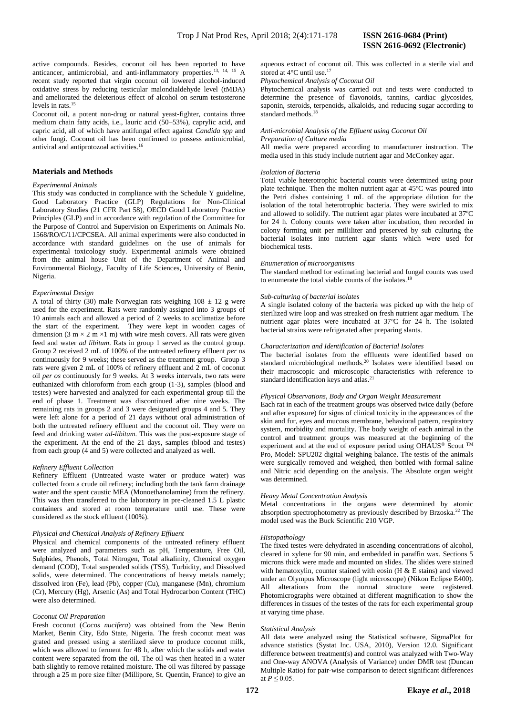active compounds. Besides, coconut oil has been reported to have anticancer, antimicrobial, and anti-inflammatory properties.13, 14, 15 A recent study reported that virgin coconut oil lowered alcohol-induced oxidative stress by reducing testicular malondialdehyde level (tMDA) and ameliorated the deleterious effect of alcohol on serum testosterone levels in rats.<sup>15</sup>

Coconut oil, a potent non-drug or natural yeast-fighter, contains three medium chain fatty acids, i.e., lauric acid (50–53%), caprylic acid, and capric acid, all of which have antifungal effect against *Candida spp* and other fungi. Coconut oil has been confirmed to possess antimicrobial, antiviral and antiprotozoal activities.<sup>16</sup>

# **Materials and Methods**

#### *Experimental Animals*

This study was conducted in compliance with the Schedule Y guideline, Good Laboratory Practice (GLP) Regulations for Non-Clinical Laboratory Studies (21 CFR Part 58), OECD Good Laboratory Practice Principles (GLP) and in accordance with regulation of the Committee for the Purpose of Control and Supervision on Experiments on Animals No. 1568/RO/C/11/CPCSEA. All animal experiments were also conducted in accordance with standard guidelines on the use of animals for experimental toxicology study. Experimental animals were obtained from the animal house Unit of the Department of Animal and Environmental Biology, Faculty of Life Sciences, University of Benin, Nigeria.

## *Experimental Design*

A total of thirty (30) male Norwegian rats weighing  $108 \pm 12$  g were used for the experiment. Rats were randomly assigned into 3 groups of 10 animals each and allowed a period of 2 weeks to acclimatize before the start of the experiment. They were kept in wooden cages of dimension (3 m  $\times$  2 m  $\times$ 1 m) with wire mesh covers. All rats were given feed and water *ad libitum*. Rats in group 1 served as the control group. Group 2 received 2 mL of 100% of the untreated refinery effluent *per os* continuously for 9 weeks; these served as the treatment group. Group 3 rats were given 2 mL of 100% of refinery effluent and 2 mL of coconut oil *per os* continuously for 9 weeks. At 3 weeks intervals, two rats were euthanized with chloroform from each group (1-3), samples (blood and testes) were harvested and analyzed for each experimental group till the end of phase 1. Treatment was discontinued after nine weeks. The remaining rats in groups 2 and 3 were designated groups 4 and 5. They were left alone for a period of 21 days without oral administration of both the untreated refinery effluent and the coconut oil. They were on feed and drinking water *ad-libitum*. This was the post-exposure stage of the experiment. At the end of the 21 days, samples (blood and testes) from each group (4 and 5) were collected and analyzed as well.

### *Refinery Effluent Collection*

Refinery Effluent (Untreated waste water or produce water) was collected from a crude oil refinery; including both the tank farm drainage water and the spent caustic MEA (Monoethanolamine) from the refinery. This was then transferred to the laboratory in pre-cleaned 1.5 L plastic containers and stored at room temperature until use. These were considered as the stock effluent (100%).

## *Physical and Chemical Analysis of Refinery Effluent*

Physical and chemical components of the untreated refinery effluent were analyzed and parameters such as pH, Temperature, Free Oil, Sulphides, Phenols, Total Nitrogen, Total alkalinity, Chemical oxygen demand (COD), Total suspended solids (TSS), Turbidity, and Dissolved solids, were determined. The concentrations of heavy metals namely; dissolved iron (Fe), lead (Pb), copper (Cu), manganese (Mn), chromium (Cr), Mercury (Hg), Arsenic (As) and Total Hydrocarbon Content (THC) were also determined.

## *Coconut Oil Preparation*

Fresh coconut (*Cocos nucifera*) was obtained from the New Benin Market, Benin City, Edo State, Nigeria. The fresh coconut meat was grated and pressed using a sterilized sieve to produce coconut milk, which was allowed to ferment for 48 h, after which the solids and water content were separated from the oil. The oil was then heated in a water bath slightly to remove retained moisture. The oil was filtered by passage through a 25 m pore size filter (Millipore, St. Quentin, France) to give an

aqueous extract of coconut oil. This was collected in a sterile vial and stored at 4°C until use.<sup>17</sup>

*Phytochemical Analysis of Coconut Oil*

Phytochemical analysis was carried out and tests were conducted to determine the presence of flavonoids, tannins, cardiac glycosides, saponin, steroids, terpenoids**,** alkaloids**,** and reducing sugar according to standard methods.<sup>18</sup>

#### *Anti-microbial Analysis of the Effluent using Coconut Oil Preparation of Culture media*

All media were prepared according to manufacturer instruction. The media used in this study include nutrient agar and McConkey agar.

#### *Isolation of Bacteria*

Total viable heterotrophic bacterial counts were determined using pour plate technique. Then the molten nutrient agar at  $45^{\circ}$ C was poured into the Petri dishes containing 1 mL of the appropriate dilution for the isolation of the total heterotrophic bacteria. They were swirled to mix and allowed to solidify. The nutrient agar plates were incubated at  $37^{\circ}$ C for 24 h. Colony counts were taken after incubation, then recorded in colony forming unit per milliliter and preserved by sub culturing the bacterial isolates into nutrient agar slants which were used for biochemical tests.

#### *Enumeration of microorganisms*

The standard method for estimating bacterial and fungal counts was used to enumerate the total viable counts of the isolates.<sup>19</sup>

#### *Sub-culturing of bacterial isolates*

A single isolated colony of the bacteria was picked up with the help of sterilized wire loop and was streaked on fresh nutrient agar medium. The nutrient agar plates were incubated at 37°C for 24 h. The isolated bacterial strains were refrigerated after preparing slants.

#### *Characterization and Identification of Bacterial Isolates*

The bacterial isolates from the effluents were identified based on standard microbiological methods.<sup>20</sup> Isolates were identified based on their macroscopic and microscopic characteristics with reference to standard identification keys and atlas.<sup>21</sup>

# *Physical Observations, Body and Organ Weight Measurement*

Each rat in each of the treatment groups was observed twice daily (before and after exposure) for signs of clinical toxicity in the appearances of the skin and fur, eyes and mucous membrane, behavioral pattern, respiratory system, morbidity and mortality. The body weight of each animal in the control and treatment groups was measured at the beginning of the experiment and at the end of exposure period using OHAUS® Scout TM Pro, Model: SPU202 digital weighing balance. The testis of the animals were surgically removed and weighed, then bottled with formal saline and Nitric acid depending on the analysis. The Absolute organ weight was determined.

# *Heavy Metal Concentration Analysis*

Metal concentrations in the organs were determined by atomic absorption spectrophotometry as previously described by Brzoska.<sup>22</sup> The model used was the Buck Scientific 210 VGP.

#### *Histopathology*

The fixed testes were dehydrated in ascending concentrations of alcohol, cleared in xylene for 90 min, and embedded in paraffin wax. Sections 5 microns thick were made and mounted on slides. The slides were stained with hematoxylin, counter stained with eosin (H & E stains) and viewed under an Olympus Microscope (light microscope) (Nikon Eclipse E400). All alterations from the normal structure were registered. Photomicrographs were obtained at different magnification to show the differences in tissues of the testes of the rats for each experimental group at varying time phase.

#### *Statistical Analysis*

All data were analyzed using the Statistical software, SigmaPlot for advance statistics (Systat Inc. USA, 2010), Version 12.0. Significant difference between treatment(s) and control was analyzed with Two-Way and One-way ANOVA (Analysis of Variance) under DMR test (Duncan Multiple Ratio) for pair-wise comparison to detect significant differences at  $P \le 0.05$ .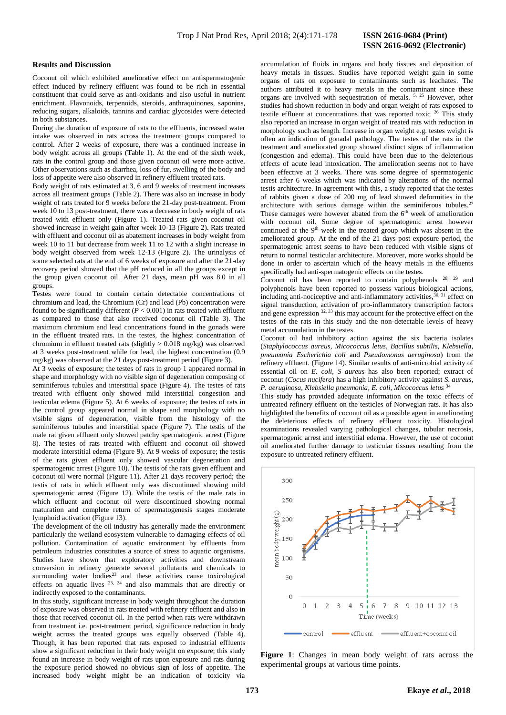# **ISSN 2616-0692 (Electronic)**

# **Results and Discussion**

Coconut oil which exhibited ameliorative effect on antispermatogenic effect induced by refinery effluent was found to be rich in essential constituent that could serve as anti-oxidants and also useful in nutrient enrichment. Flavonoids, terpenoids, steroids, anthraquinones, saponins, reducing sugars, alkaloids, tannins and cardiac glycosides were detected in both substances.

During the duration of exposure of rats to the effluents, increased water intake was observed in rats across the treatment groups compared to control. After 2 weeks of exposure, there was a continued increase in body weight across all groups (Table 1). At the end of the sixth week, rats in the control group and those given coconut oil were more active. Other observations such as diarrhea, loss of fur, swelling of the body and loss of appetite were also observed in refinery effluent treated rats.

Body weight of rats estimated at 3, 6 and 9 weeks of treatment increases across all treatment groups (Table 2). There was also an increase in body weight of rats treated for 9 weeks before the 21-day post-treatment. From week 10 to 13 post-treatment, there was a decrease in body weight of rats treated with effluent only (Figure 1). Treated rats given coconut oil showed increase in weight gain after week 10-13 (Figure 2). Rats treated with effluent and coconut oil as abatement increases in body weight from week 10 to 11 but decrease from week 11 to 12 with a slight increase in body weight observed from week 12-13 (Figure 2). The urinalysis of some selected rats at the end of 6 weeks of exposure and after the 21-day recovery period showed that the pH reduced in all the groups except in the group given coconut oil. After 21 days, mean pH was 8.0 in all groups.

Testes were found to contain certain detectable concentrations of chromium and lead, the Chromium (Cr) and lead (Pb) concentration were found to be significantly different  $(P < 0.001)$  in rats treated with effluent as compared to those that also received coconut oil (Table 3). The maximum chromium and lead concentrations found in the gonads were in the effluent treated rats. In the testes, the highest concentration of chromium in effluent treated rats (slightly > 0.018 mg/kg) was observed at 3 weeks post-treatment while for lead, the highest concentration (0.9 mg/kg) was observed at the 21 days post-treatment period (Figure 3).

At 3 weeks of exposure; the testes of rats in group 1 appeared normal in shape and morphology with no visible sign of degeneration composing of seminiferous tubules and interstitial space (Figure 4). The testes of rats treated with effluent only showed mild interstitial congestion and testicular edema (Figure 5). At 6 weeks of exposure; the testes of rats in the control group appeared normal in shape and morphology with no visible signs of degeneration, visible from the histology of the seminiferous tubules and interstitial space (Figure 7). The testis of the male rat given effluent only showed patchy spermatogenic arrest (Figure 8). The testes of rats treated with effluent and coconut oil showed moderate interstitial edema (Figure 9). At 9 weeks of exposure; the testis of the rats given effluent only showed vascular degeneration and spermatogenic arrest (Figure 10). The testis of the rats given effluent and coconut oil were normal (Figure 11). After 21 days recovery period; the testis of rats in which effluent only was discontinued showing mild spermatogenic arrest (Figure 12). While the testis of the male rats in which effluent and coconut oil were discontinued showing normal maturation and complete return of spermatogenesis stages moderate lymphoid activation (Figure 13).

The development of the oil industry has generally made the environment particularly the wetland ecosystem vulnerable to damaging effects of oil pollution. Contamination of aquatic environment by effluents from petroleum industries constitutes a source of stress to aquatic organisms. Studies have shown that exploratory activities and downstream conversion in refinery generate several pollutants and chemicals to surrounding water bodies<sup>23</sup> and these activities cause toxicological effects on aquatic lives  $23$ ,  $24$  and also mammals that are directly or indirectly exposed to the contaminants.

In this study, significant increase in body weight throughout the duration of exposure was observed in rats treated with refinery effluent and also in those that received coconut oil. In the period when rats were withdrawn from treatment i.e. post-treatment period, significance reduction in body weight across the treated groups was equally observed (Table 4). Though, it has been reported that rats exposed to industrial effluents show a significant reduction in their body weight on exposure; this study found an increase in body weight of rats upon exposure and rats during the exposure period showed no obvious sign of loss of appetite. The increased body weight might be an indication of toxicity via

accumulation of fluids in organs and body tissues and deposition of heavy metals in tissues. Studies have reported weight gain in some organs of rats on exposure to contaminants such as leachates. The authors attributed it to heavy metals in the contaminant since these organs are involved with sequestration of metals. 5, 25 However, other studies had shown reduction in body and organ weight of rats exposed to textile effluent at concentrations that was reported toxic <sup>26</sup> This study also reported an increase in organ weight of treated rats with reduction in morphology such as length. Increase in organ weight e.g. testes weight is often an indication of gonadal pathology. The testes of the rats in the treatment and ameliorated group showed distinct signs of inflammation (congestion and edema). This could have been due to the deleterious effects of acute lead intoxication. The amelioration seems not to have been effective at 3 weeks. There was some degree of spermatogenic arrest after 6 weeks which was indicated by alterations of the normal testis architecture. In agreement with this, a study reported that the testes of rabbits given a dose of 200 mg of lead showed deformities in the architecture with serious damage within the seminiferous tubules.<sup>2</sup> These damages were however abated from the  $6<sup>th</sup>$  week of amelioration with coconut oil. Some degree of spermatogenic arrest however continued at the 9<sup>th</sup> week in the treated group which was absent in the ameliorated group. At the end of the 21 days post exposure period, the spermatogenic arrest seems to have been reduced with visible signs of return to normal testicular architecture. Moreover, more works should be done in order to ascertain which of the heavy metals in the effluents specifically had anti-spermatogenic effects on the testes.

Coconut oil has been reported to contain polyphenols 28, 29 and polyphenols have been reported to possess various biological actions, including anti-nociceptive and anti-inflammatory activities, 30, 31 effect on signal transduction, activation of pro-inflammatory transcription factors and gene expression  $32, 33$  this may account for the protective effect on the testes of the rats in this study and the non-detectable levels of heavy metal accumulation in the testes.

Coconut oil had inhibitory action against the six bacteria isolates (*Staphylococcus aureus, Micococcus letus*, *Bacillus subtilis, Klebsiella, pneumonia Escherichia coli* and *Pseudomonas aeruginosa*) from the refinery effluent. (Figure 14). Similar results of anti-microbial activity of essential oil on *E. coli*, *S aureus* has also been reported; extract of coconut (*Cocus nucifera*) has a high inhibitory activity against *S. aureus*, *P. aeruginosa*, *Klebsiella pneumonia*, *E. coli*, *Micococcus letus* <sup>34</sup>

This study has provided adequate information on the toxic effects of untreated refinery effluent on the testicles of Norwegian rats. It has also highlighted the benefits of coconut oil as a possible agent in ameliorating the deleterious effects of refinery effluent toxicity. Histological examinations revealed varying pathological changes, tubular necrosis, spermatogenic arrest and interstitial edema. However, the use of coconut oil ameliorated further damage to testicular tissues resulting from the exposure to untreated refinery effluent.



**Figure 1**: Changes in mean body weight of rats across the experimental groups at various time points.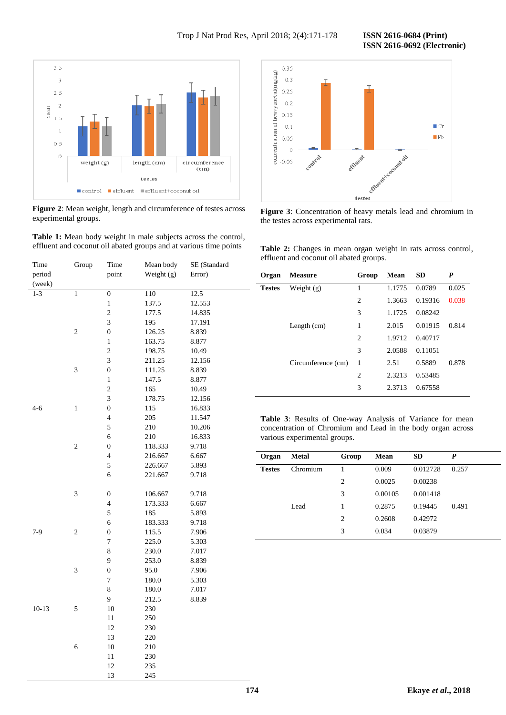**ISSN 2616-0692 (Electronic)** 



**Figure 2**: Mean weight, length and circumference of testes across experimental groups.



| Time      | Group          | Time                     | Mean body  | SE (Standard |
|-----------|----------------|--------------------------|------------|--------------|
| period    |                | point                    | Weight (g) | Error)       |
| (week)    |                |                          |            |              |
| $1 - 3$   | $\overline{1}$ | $\overline{0}$           | 110        | 12.5         |
|           |                | 1                        | 137.5      | 12.553       |
|           |                | $\overline{c}$           | 177.5      | 14.835       |
|           |                | 3                        | 195        | 17.191       |
|           | $\overline{c}$ | $\boldsymbol{0}$         | 126.25     | 8.839        |
|           |                | $\,1$                    | 163.75     | 8.877        |
|           |                | $\overline{\mathbf{c}}$  | 198.75     | 10.49        |
|           |                | 3                        | 211.25     | 12.156       |
|           | 3              | $\boldsymbol{0}$         | 111.25     | 8.839        |
|           |                | $\mathbf{1}$             | 147.5      | 8.877        |
|           |                | $\overline{\mathbf{c}}$  | 165        | 10.49        |
|           |                | 3                        | 178.75     | 12.156       |
| $4 - 6$   | $\mathbf{1}$   | $\boldsymbol{0}$         | 115        | 16.833       |
|           |                | $\overline{\mathcal{L}}$ | 205        | 11.547       |
|           |                | 5                        | 210        | 10.206       |
|           |                | 6                        | 210        | 16.833       |
|           | $\overline{c}$ | $\boldsymbol{0}$         | 118.333    | 9.718        |
|           |                | 4                        | 216.667    | 6.667        |
|           |                | 5                        | 226.667    | 5.893        |
|           |                | 6                        | 221.667    | 9.718        |
|           |                |                          |            |              |
|           | 3              | 0                        | 106.667    | 9.718        |
|           |                | 4                        | 173.333    | 6.667        |
|           |                | 5                        | 185        | 5.893        |
|           |                | 6                        | 183.333    | 9.718        |
| $7-9$     | $\mathfrak{2}$ | $\boldsymbol{0}$         | 115.5      | 7.906        |
|           |                | $\overline{7}$           | 225.0      | 5.303        |
|           |                | 8                        | 230.0      | 7.017        |
|           |                | 9                        | 253.0      | 8.839        |
|           | 3              | $\boldsymbol{0}$         | 95.0       | 7.906        |
|           |                | $\overline{7}$           | 180.0      | 5.303        |
|           |                | 8                        | 180.0      | 7.017        |
|           |                | 9                        | 212.5      | 8.839        |
| $10 - 13$ | 5              | 10                       | 230        |              |
|           |                | 11                       | 250        |              |
|           |                | 12                       | 230        |              |
|           |                | 13                       | 220        |              |
|           | 6              | 10                       | 210        |              |
|           |                | 11                       | 230        |              |
|           |                | 12                       | 235        |              |
|           |                | 13                       | 245        |              |



**Figure 3**: Concentration of heavy metals lead and chromium in the testes across experimental rats.

**Table 2:** Changes in mean organ weight in rats across control, effluent and coconut oil abated groups.

| Organ         | <b>Measure</b>     | Group          | Mean   | <b>SD</b> | P     |
|---------------|--------------------|----------------|--------|-----------|-------|
| <b>Testes</b> | Weight $(g)$       | 1              | 1.1775 | 0.0789    | 0.025 |
|               |                    | $\overline{2}$ | 1.3663 | 0.19316   | 0.038 |
|               |                    | 3              | 1.1725 | 0.08242   |       |
|               | Length $(cm)$      | 1              | 2.015  | 0.01915   | 0.814 |
|               |                    | $\overline{c}$ | 1.9712 | 0.40717   |       |
|               |                    | 3              | 2.0588 | 0.11051   |       |
|               | Circumference (cm) | 1              | 2.51   | 0.5889    | 0.878 |
|               |                    | $\overline{c}$ | 2.3213 | 0.53485   |       |
|               |                    | 3              | 2.3713 | 0.67558   |       |

**Table 3**: Results of One-way Analysis of Variance for mean concentration of Chromium and Lead in the body organ across various experimental groups.

| Organ         | <b>Metal</b> | Group          | Mean    | <b>SD</b> | P     |
|---------------|--------------|----------------|---------|-----------|-------|
| <b>Testes</b> | Chromium     |                | 0.009   | 0.012728  | 0.257 |
|               |              | $\overline{2}$ | 0.0025  | 0.00238   |       |
|               |              | 3              | 0.00105 | 0.001418  |       |
|               | Lead         | 1              | 0.2875  | 0.19445   | 0.491 |
|               |              | $\overline{2}$ | 0.2608  | 0.42972   |       |
|               |              | 3              | 0.034   | 0.03879   |       |
|               |              |                |         |           |       |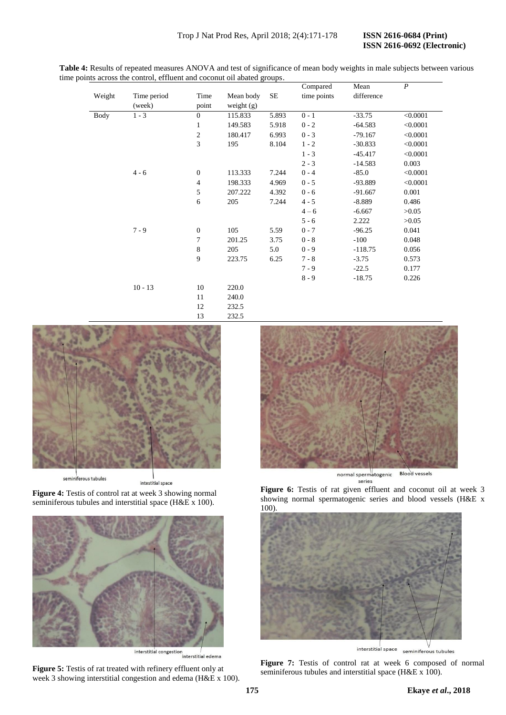| Table 4: Results of repeated measures ANOVA and test of significance of mean body weights in male subjects between various |
|----------------------------------------------------------------------------------------------------------------------------|
| time points across the control, effluent and coconut oil abated groups.                                                    |

|             |             |                  |              |           | Compared    | Mean       | $\boldsymbol{P}$ |
|-------------|-------------|------------------|--------------|-----------|-------------|------------|------------------|
| Weight      | Time period | Time             | Mean body    | <b>SE</b> | time points | difference |                  |
|             | (week)      | point            | weight $(g)$ |           |             |            |                  |
| <b>Body</b> | $1 - 3$     | $\mathbf{0}$     | 115.833      | 5.893     | $0 - 1$     | $-33.75$   | < 0.0001         |
|             |             | 1                | 149.583      | 5.918     | $0 - 2$     | $-64.583$  | < 0.0001         |
|             |             | $\overline{c}$   | 180.417      | 6.993     | $0 - 3$     | $-79.167$  | < 0.0001         |
|             |             | 3                | 195          | 8.104     | $1 - 2$     | $-30.833$  | < 0.0001         |
|             |             |                  |              |           | $1 - 3$     | $-45.417$  | < 0.0001         |
|             |             |                  |              |           | $2 - 3$     | $-14.583$  | 0.003            |
|             | $4 - 6$     | $\boldsymbol{0}$ | 113.333      | 7.244     | $0 - 4$     | $-85.0$    | < 0.0001         |
|             |             | $\overline{4}$   | 198.333      | 4.969     | $0 - 5$     | -93.889    | < 0.0001         |
|             |             | 5                | 207.222      | 4.392     | $0 - 6$     | $-91.667$  | 0.001            |
|             |             | 6                | 205          | 7.244     | $4 - 5$     | $-8.889$   | 0.486            |
|             |             |                  |              |           | $4 - 6$     | $-6.667$   | >0.05            |
|             |             |                  |              |           | $5 - 6$     | 2.222      | >0.05            |
|             | $7 - 9$     | $\boldsymbol{0}$ | 105          | 5.59      | $0 - 7$     | $-96.25$   | 0.041            |
|             |             | 7                | 201.25       | 3.75      | $0 - 8$     | $-100$     | 0.048            |
|             |             | 8                | 205          | 5.0       | $0 - 9$     | $-118.75$  | 0.056            |
|             |             | 9                | 223.75       | 6.25      | $7 - 8$     | $-3.75$    | 0.573            |
|             |             |                  |              |           | $7 - 9$     | $-22.5$    | 0.177            |
|             |             |                  |              |           | $8 - 9$     | $-18.75$   | 0.226            |
|             | $10 - 13$   | 10               | 220.0        |           |             |            |                  |
|             |             | 11               | 240.0        |           |             |            |                  |
|             |             | 12               | 232.5        |           |             |            |                  |
|             |             | 13               | 232.5        |           |             |            |                  |



seminiferous tubules

intestitial space

**Figure 4:** Testis of control rat at week 3 showing normal seminiferous tubules and interstitial space (H&E x 100).



**Figure 5:** Testis of rat treated with refinery effluent only at week 3 showing interstitial congestion and edema (H&E x 100).



normal spermatogenic **Blood vessels**  $series$ 

**Figure 6:** Testis of rat given effluent and coconut oil at week 3 showing normal spermatogenic series and blood vessels (H&E x 100).



interstitial space seminiferous tubules

**Figure 7:** Testis of control rat at week 6 composed of normal seminiferous tubules and interstitial space (H&E x 100).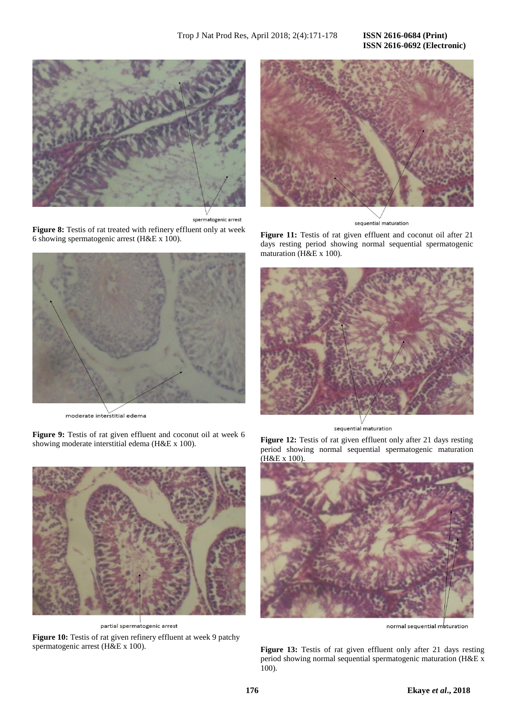# **ISSN 2616-0692 (Electronic)**



spermatogenic arrest

**Figure 8:** Testis of rat treated with refinery effluent only at week 6 showing spermatogenic arrest (H&E x 100).



moderate interstitial edema

**Figure 9:** Testis of rat given effluent and coconut oil at week 6 showing moderate interstitial edema (H&E x 100).



partial spermatogenic arrest

Figure 10: Testis of rat given refinery effluent at week 9 patchy spermatogenic arrest (H&E x 100).



sequential maturation

**Figure 11:** Testis of rat given effluent and coconut oil after 21 days resting period showing normal sequential spermatogenic maturation (H&E x 100).



sequential maturation

Figure 12: Testis of rat given effluent only after 21 days resting period showing normal sequential spermatogenic maturation (H&E x 100).



normal sequential maturation

Figure 13: Testis of rat given effluent only after 21 days resting period showing normal sequential spermatogenic maturation (H&E x 100).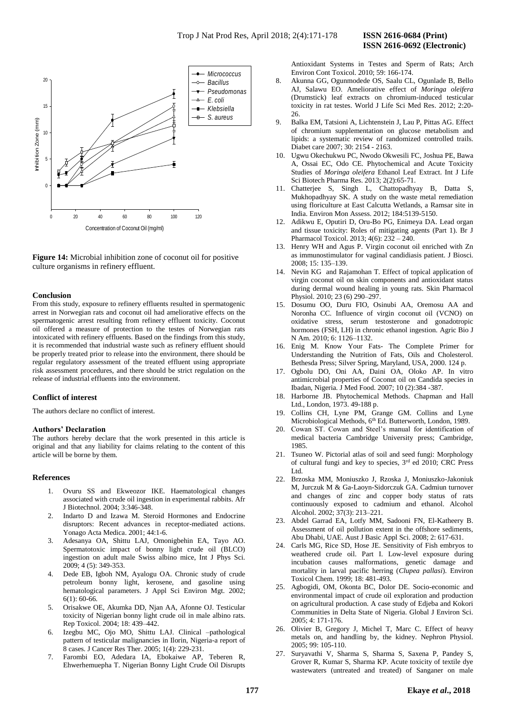

**Figure 14:** Microbial inhibition zone of coconut oil for positive culture organisms in refinery effluent.

# **Conclusion**

From this study, exposure to refinery effluents resulted in spermatogenic arrest in Norwegian rats and coconut oil had ameliorative effects on the spermatogenic arrest resulting from refinery effluent toxicity. Coconut oil offered a measure of protection to the testes of Norwegian rats intoxicated with refinery effluents. Based on the findings from this study, it is recommended that industrial waste such as refinery effluent should be properly treated prior to release into the environment, there should be regular regulatory assessment of the treated effluent using appropriate risk assessment procedures, and there should be strict regulation on the release of industrial effluents into the environment.

# **Conflict of interest**

The authors declare no conflict of interest.

## **Authors' Declaration**

The authors hereby declare that the work presented in this article is original and that any liability for claims relating to the content of this article will be borne by them.

# **References**

- 1. Ovuru SS and Ekweozor IKE. Haematological changes associated with crude oil ingestion in experimental rabbits. Afr J Biotechnol. 2004; 3:346-348.
- 2. Indarto D and Izawa M. Steroid Hormones and Endocrine disruptors: Recent advances in receptor-mediated actions. Yonago Acta Medica. 2001; 44:1-6.
- 3. Adesanya OA, Shittu LAJ, Omonigbehin EA, Tayo AO. Spermatotoxic impact of bonny light crude oil (BLCO) ingestion on adult male Swiss albino mice, Int J Phys Sci. 2009; 4 (5): 349-353.
- 4. Dede EB, Igboh NM, Ayalogu OA. Chronic study of crude petroleum bonny light, kerosene, and gasoline using hematological parameters. J Appl Sci Environ Mgt. 2002; 6(1): 60-66.
- 5. Orisakwe OE, Akumka DD, Njan AA, Afonne OJ. Testicular toxicity of Nigerian bonny light crude oil in male albino rats. Rep Toxicol. 2004; 18: 439–442.
- 6. Izegbu MC, Ojo MO, Shittu LAJ. Clinical –pathological pattern of testicular malignancies in Ilorin, Nigeria-a report of 8 cases. J Cancer Res Ther. 2005; 1(4): 229-231.
- 7. Farombi EO, Adedara IA, Ebokaiwe AP, Teberen R, Ehwerhemuepha T. Nigerian Bonny Light Crude Oil Disrupts

Antioxidant Systems in Testes and Sperm of Rats; Arch Environ Cont Toxicol. 2010; 59: 166-174.

- 8. Akunna GG, Ogunmodede OS, Saalu CL, Ogunlade B, Bello AJ, Salawu EO. Ameliorative effect of *Moringa oleifera* (Drumstick) leaf extracts on chromium-induced testicular toxicity in rat testes. World J Life Sci Med Res. 2012; 2:20- 26.
- 9. Balka EM, Tatsioni A, Lichtenstein J, Lau P, Pittas AG. Effect of chromium supplementation on glucose metabolism and lipids: a systematic review of randomized controlled trails. Diabet care 2007; 30: 2154 - 2163.
- 10. Ugwu Okechukwu PC, Nwodo Okwesili FC, Joshua PE, Bawa A, Ossai EC, Odo CE. Phytochemical and Acute Toxicity Studies of *Moringa oleifera* Ethanol Leaf Extract. Int J Life Sci Biotech Pharma Res. 2013; 2(2):65-71.
- 11. Chatterjee S, Singh L, Chattopadhyay B, Datta S, Mukhopadhyay SK. A study on the waste metal remediation using floriculture at East Calcutta Wetlands, a Ramsar site in India. Environ Mon Assess. 2012; 184:5139-5150.
- 12. Adikwu E, Oputiri D, Oru-Bo PG, Enimeya DA. Lead organ and tissue toxicity: Roles of mitigating agents (Part 1). Br J Pharmacol Toxicol. 2013; 4(6): 232 – 240.
- 13. Henry WH and Agus P. Virgin coconut oil enriched with Zn as immunostimulator for vaginal candidiasis patient. J Biosci. 2008; 15: 135–139.
- 14. Nevin KG and Rajamohan T. Effect of topical application of virgin coconut oil on skin components and antioxidant status during dermal wound healing in young rats. Skin Pharmacol Physiol. 2010; 23 (6) 290–297.
- 15. Dosumu OO, Duru FIO, Osinubi AA, Oremosu AA and Noronha CC. Influence of virgin coconut oil (VCNO) on oxidative stress, serum testosterone and gonadotropic hormones (FSH, LH) in chronic ethanol ingestion. Agric Bio J N Am. 2010; 6: 1126–1132.
- 16. Enig M. Know Your Fats- The Complete Primer for Understanding the Nutrition of Fats, Oils and Cholesterol. Bethesda Press; Silver Spring, Maryland, USA, 2000. 124 p.
- 17. Ogbolu DO, Oni AA, Daini OA, Oloko AP. In vitro antimicrobial properties of Coconut oil on Candida species in Ibadan, Nigeria. J Med Food. 2007; 10 (2):384 -387.
- 18. Harborne JB. Phytochemical Methods. Chapman and Hall Ltd., London, 1973. 49-188 p.
- 19. Collins CH, Lyne PM, Grange GM. Collins and Lyne Microbiological Methods, 6<sup>th</sup> Ed. Butterworth, London, 1989.
- 20. Cowan ST. Cowan and Steel's manual for identification of medical bacteria Cambridge University press; Cambridge, 1985.
- 21. Tsuneo W. Pictorial atlas of soil and seed fungi: Morphology of cultural fungi and key to species,  $3<sup>rd</sup>$  ed 2010; CRC Press Ltd.
- 22. Brzoska MM, Moniuszko J, Rzoska J, Moniuszko-Jakoniuk M, Jurczuk M & Ga-Laoyn-Sidorczuk GA. Cadmiun turnover and changes of zinc and copper body status of rats continuously exposed to cadmium and ethanol. Alcohol Alcohol. 2002; 37(3): 213–221.
- 23. Abdel Garrad EA, Lotfy MM, Sadooni FN, El-Katheery B. Assessment of oil pollution extent in the offshore sediments, Abu Dhabi, UAE. Aust J Basic Appl Sci. 2008; 2: 617-631.
- 24. Carls MG, Rice SD, Hose JE. Sensitivity of Fish embryos to weathered crude oil. Part I. Low-level exposure during incubation causes malformations, genetic damage and mortality in larval pacific herring (*Clupea pallasi*). Environ Toxicol Chem. 1999; 18: 481-493.
- 25. Agbogidi, OM, Okonta BC, Dolor DE. Socio-economic and environmental impact of crude oil exploration and production on agricultural production. A case study of Edjeba and Kokori Communities in Delta State of Nigeria. Global J Environ Sci. 2005; 4: 171-176.
- 26. Olivier B, Gregory J, Michel T, Marc C. Effect of heavy metals on, and handling by, the kidney. Nephron Physiol. 2005; 99: 105-110.
- 27. Suryavathi V, Sharma S, Sharma S, Saxena P, Pandey S, Grover R, Kumar S, Sharma KP. Acute toxicity of textile dye wastewaters (untreated and treated) of Sanganer on male